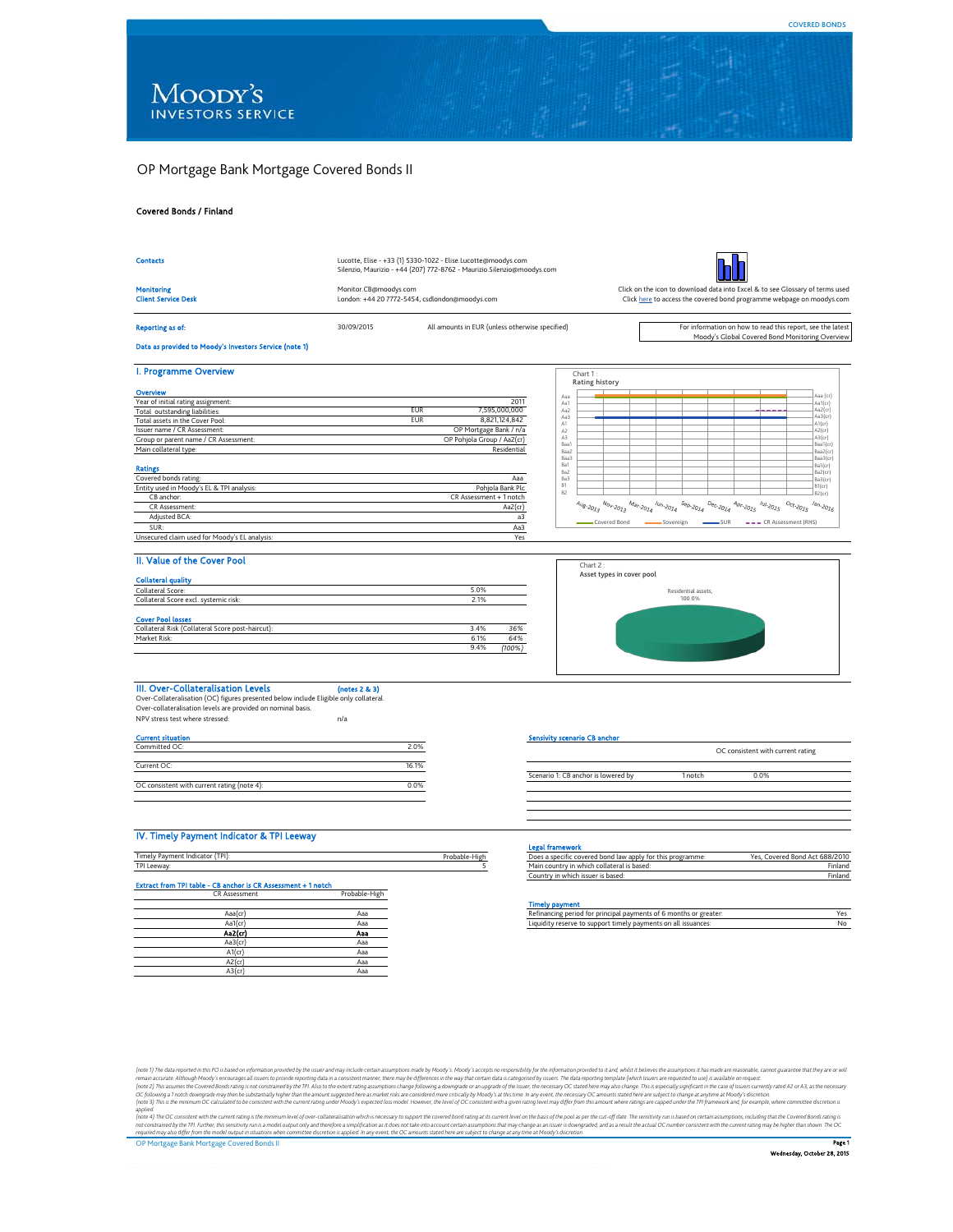# OP Mortgage Bank Mortgage Covered Bonds II

#### Covered Bonds / Finland



# CR Assessment Probable-High Extract from TPI table - CB anchor is CR Assessment + 1 notch

| $\cdots$ |
|----------|
|          |
| Aaa      |
| Aaa      |
| Aaa      |
| Aaa      |
| Aaa      |
| Aaa      |
| Aaa      |
|          |

#### Timely payment

| Aaal cr | Ada | - principal payments of 6 months or .<br>greater:<br>/ DPD<br>. to<br>1n           |  |
|---------|-----|------------------------------------------------------------------------------------|--|
| Aa1(cr  | Add | ort timely payments on all issuances:<br><b>SUDDO</b><br>inuidit:<br>reser<br>- то |  |
|         |     |                                                                                    |  |

(note 3) The data reported in the Os based only mailon provide by the issue and my include erain assumptions made by Moody's Access in the wy that certain data is capacity in frame that the see examples are availably the m

**COVERED BONDS**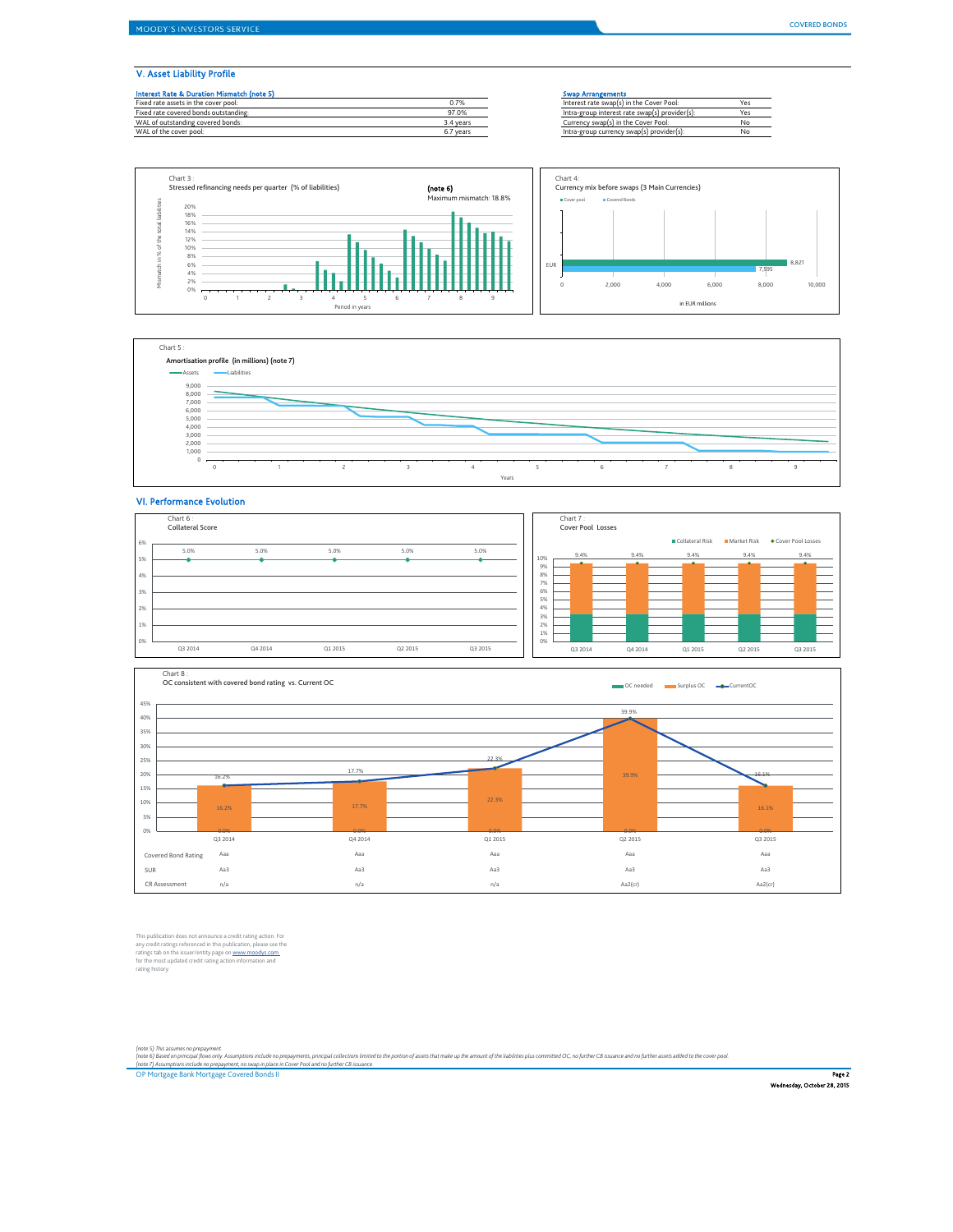#### V. Asset Liability Profile

| <b>Interest Rate &amp; Duration Mismatch (note 5)</b> |           | <b>Swap Arrangements</b>                       |     |
|-------------------------------------------------------|-----------|------------------------------------------------|-----|
| Fixed rate assets in the cover pool:                  | 0.7%      | Interest rate swap(s) in the Cover Pool:       | Yes |
| Fixed rate covered bonds outstanding:                 | 97.0%     | Intra-group interest rate swap(s) provider(s): | Yes |
| WAL of outstanding covered bonds:                     | 3.4 years | Currency swap(s) in the Cover Pool:            | No  |
| WAL of the cover pool:                                | 6.7 years | Intra-group currency swap(s) provider(s):      | No  |







### VI. Performance Evolution

| Chart 6:<br><b>Collateral Score</b> |         |         |         |         |
|-------------------------------------|---------|---------|---------|---------|
| 6%                                  |         |         |         |         |
| 5.0%<br>5%                          | 5.0%    | 5.0%    | 5.0%    | 5.0%    |
|                                     |         |         |         |         |
| 4%                                  |         |         |         |         |
| 3%                                  |         |         |         |         |
|                                     |         |         |         |         |
| 2%                                  |         |         |         |         |
| 1%                                  |         |         |         |         |
|                                     |         |         |         |         |
| 0%                                  |         |         |         |         |
| Q3 2014                             | Q4 2014 | Q1 2015 | Q2 2015 | 03 2015 |



This publication does not announce a credit rating action. For<br>any credit ratings referenced in this publication, please see the<br>ratings tab on the issuer/entity page on <u>www.moodys.com</u><br>for the most updated credit rating

(note 5) This assumes no prepayment.<br>(note 6) Based on pricipal (bow snly. ksumptions include no prepayments, principal collections limited to the portion of assets that make up the amount of the liabilities plus committed

OP Mortgage Bank Mortgage Covered Bonds II P**age 2** and the control of the control of the control of the control of the control of the control of the control of the control of the control of the control of the control of t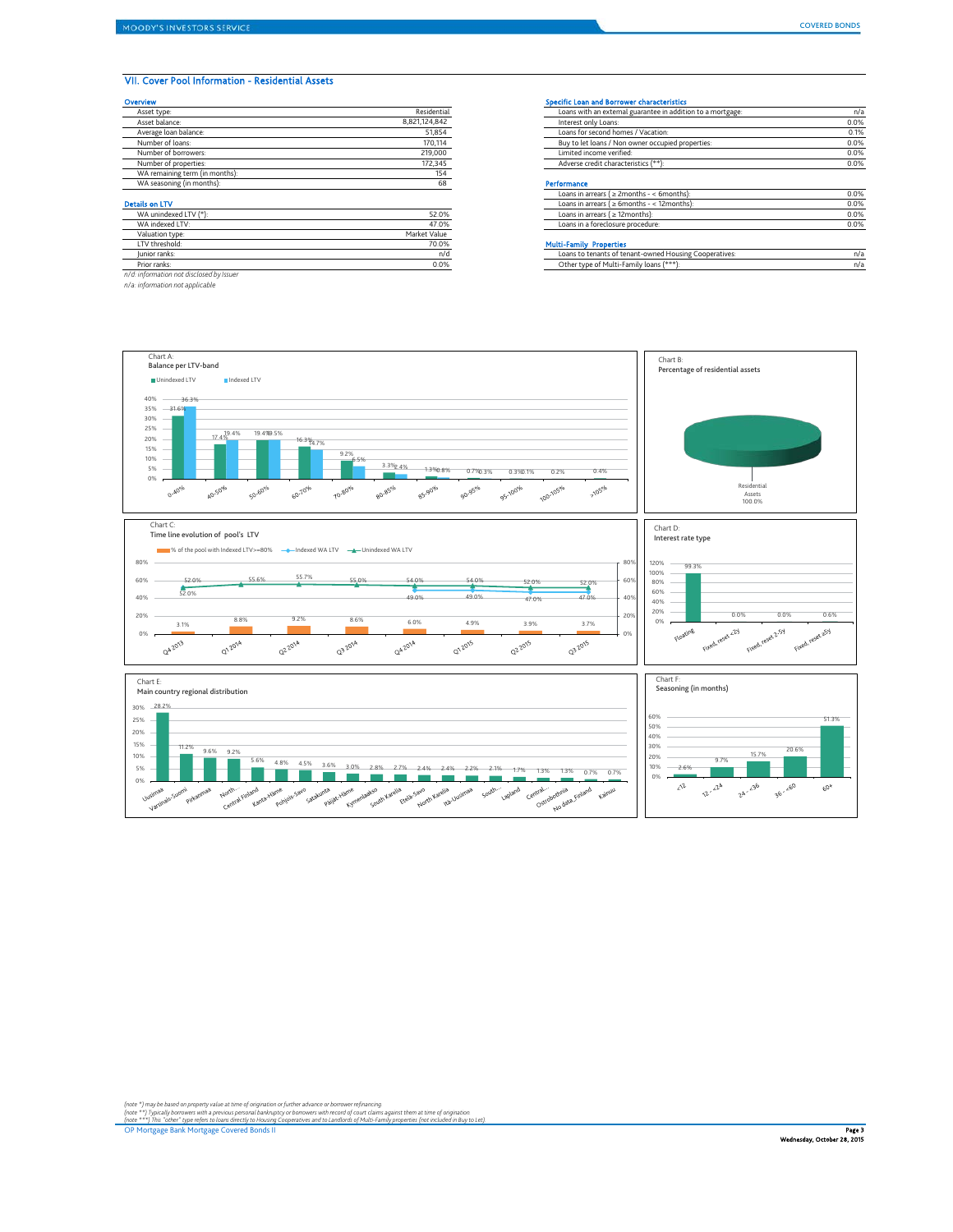## VII. Cover Pool Information - Residential Assets

| Overview                       |               | <b>Specific Loan and Borrower characteristics</b>           |      |
|--------------------------------|---------------|-------------------------------------------------------------|------|
| Asset type:                    | Residential   | Loans with an external guarantee in addition to a mortgage: | n/a  |
| Asset balance:                 | 8,821,124,842 | Interest only Loans:                                        | 0.0% |
| Average loan balance:          | 51,854        | Loans for second homes / Vacation:                          | 0.1% |
| Number of loans:               | 170,114       | Buy to let loans / Non owner occupied properties:           | 0.0% |
| Number of borrowers:           | 219,000       | Limited income verified:                                    | 0.0% |
| Number of properties:          | 172,345       | Adverse credit characteristics (**):                        | 0.0% |
| WA remaining term (in months): | 154           |                                                             |      |
| WA seasoning (in months):      | 68            | Performance                                                 |      |
|                                |               | Loans in arrears $( \geq 2$ months - < 6 months):           | 0.0% |
| <b>Details on LTV</b>          |               | Loans in arrears ( $\geq 6$ months - < 12months):           | 0.0% |
| WA unindexed LTV (*):          | 52.0%         | Loans in arrears $( \geq 12$ months):                       | 0.0% |

| WA indexed LTV:                          | 47.0%        | Loans in a foreclosure procedure:                      | 0.0% |
|------------------------------------------|--------------|--------------------------------------------------------|------|
| Valuation type:                          | Market Value |                                                        |      |
| I TV threshold:                          | 70.0%        | <b>Multi-Family Properties</b>                         |      |
| lunior ranks:                            | n/d          | Loans to tenants of tenant-owned Housing Cooperatives: | n/a  |
| Prior ranks:                             | 0.0%         | Other type of Multi-Family loans (***):                | n/a  |
| n/d: information not disclosed by Issuer |              |                                                        |      |

*n/d: information not disclosed by Issuer n/a: information not applicable*

| Asset type:                    | Residential   | Loans with an external guarantee in addition to a mortgage: | n/a  |
|--------------------------------|---------------|-------------------------------------------------------------|------|
| Asset balance:                 | 8,821,124,842 | Interest only Loans:                                        | 0.0% |
| Average loan balance:          | 51,854        | Loans for second homes / Vacation:                          | 0.1% |
| Number of loans:               | 170,114       | Buy to let loans / Non owner occupied properties:           | 0.0% |
| Number of borrowers:           | 219,000       | Limited income verified:                                    | 0.0% |
| Number of properties:          | 172,345       | Adverse credit characteristics (**):                        | 0.0% |
| WA remaining term (in months): | 154           |                                                             |      |
| WA seasoning (in months):      |               | Performance                                                 |      |
|                                |               | Loans in arrears ( $\geq$ 2months - < 6months):             | 0.0% |
| ails on LTV                    |               | Loans in arrears ( $\geq 6$ months - < 12months):           | 0.0% |
| WA unindexed LTV (*):          | 52.0%         | Loans in arrears ( $\geq$ 12months):                        | 0.0% |
| WA indexed LTV:                | 47.0%         | Loans in a foreclosure procedure:                           | 0.0% |
| Valuation type:                | Market Value  |                                                             |      |

### Multi-Family Properties

| lunior ranks: | nıc  | Loans to tenants of tenant-owned Housing Cooperatives: |  |
|---------------|------|--------------------------------------------------------|--|
| Prior ranks:  | 0.0% | er type of Multi-Family loans (*'                      |  |
| .             |      |                                                        |  |

Chart B: Chart A: Balance per LTV-band Percentage of residential assets ■ Unindexed LTV Indexed LTV 40% 36.3% 35% - 31.6%<mark></mark> 30% 15% 20% 25% 17.4% 19.4% 16.3% 19.4% 19.5%  $16.3\frac{9}{14}$ .7% 9.2% 10% 6.5%  $5%$  $\begin{array}{|c|c|c|c|c|c|c|c|} \hline &3.3\% &4\% &4.3\% &5.3\% & 0.3\% & 0.3\% & 0.2\% & 0.4\% \\ \hline \hline \end{array}$ 2.4% 0.8% 0.3% 0.1%  $\overline{1}$ 0%  $70506$  $O\cdot\mathsf{M}^{O^0|o}$ 10.80% 80.85% 85.90%  $90.95^{\circ / o}$ 95-100% Residential 40.50% 50.60%  $60^{10^{00}}$ Assets 100.0% Chart C: Time line evolution of pool's LTV Chart D: Interest rate type ■ % of the pool with Indexed LTV>=80% Indexed WA LTV Indexed WA LTV 80% 120% 99.3% 80%  $100\%$  –  $\frac{52.0\%}{2.0\%}$  55.6% 55.7% 55.0% 54.0% 54.0% 52.0% 52.0% 55.0% 60% 60% 40% 60% 80% 52.0% 49.0% 49.0% 47.0% 47.0% 40%  $40'$ 20%  $\overline{a}$ 20% 0.0% 0.0% 0.6%<br>1.6% 0.0% 0.6% 0.6%  $20<sup>6</sup>$ 0% 3.1% 8.8% 9.2% 8.6% 6.0% 4.9% 3.9% 3.7% Floating 0% Q4 2013 Q1 2014 **Q22014** Q3 2014 Q42014 **Q12015** 22015 032015 0% Chart F: Chart E: Seasoning (in months) Main country regional distribution 28.2% 30% 60% 51.3% 25% 50% 20% 40% 15% 11.2% 9.6% 9.2% 9.7% 15.7% 20.6% 20% 30% 10% 5.6% 4.8% 4.5% 3.6% 3.0% 2.8% 2.7% 2.4% 2.4% 2.2% 2.1% 1.7% 1.3% 1.3% 0.7% 0.7% 5%  $10\%$   $-2.6\%$ O% ive of the control private of the control interaction of the control of the control private private private private speech the control of the control control control of the control of the control of the control of the cont  $\lambda^2$  $\sqrt{2\cdot\frac{2^{k}}{k}}$  $2^{h} \cdot \frac{3^{6}}{3^{6}}$   $3^{6} \cdot \frac{10^{0}}{3^{6}}$  $60^{\circ}$ 

(note \*) may be based on property value at time of origination or further advance or borrower refinancing.<br>(note \*\*\*) Typically borrowes with a previous personal bankuptcy or borrowers with record of court claims at time o

OP Mortgage Bank Mortgage Covered Bonds II Page 3